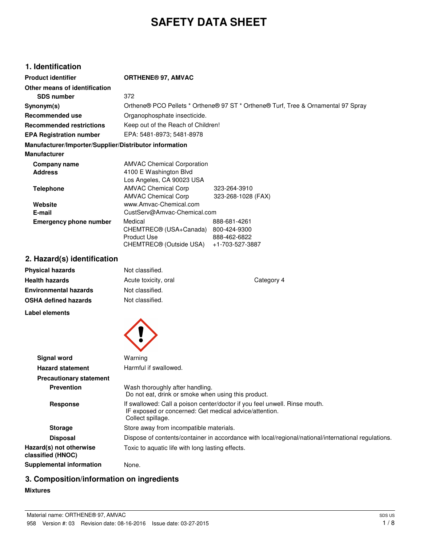# **SAFETY DATA SHEET**

# **1. Identification**

| <b>Product identifier</b>                              | <b>ORTHENE® 97, AMVAC</b>                                                                                                                                 |                                                                 |  |  |
|--------------------------------------------------------|-----------------------------------------------------------------------------------------------------------------------------------------------------------|-----------------------------------------------------------------|--|--|
| Other means of identification<br><b>SDS number</b>     | 372                                                                                                                                                       |                                                                 |  |  |
| Synonym(s)                                             | Orthene® PCO Pellets * Orthene® 97 ST * Orthene® Turf, Tree & Ornamental 97 Spray                                                                         |                                                                 |  |  |
| <b>Recommended use</b>                                 | Organophosphate insecticide.                                                                                                                              |                                                                 |  |  |
| <b>Recommended restrictions</b>                        | Keep out of the Reach of Children!                                                                                                                        |                                                                 |  |  |
| <b>EPA Registration number</b>                         | EPA: 5481-8973; 5481-8978                                                                                                                                 |                                                                 |  |  |
| Manufacturer/Importer/Supplier/Distributor information |                                                                                                                                                           |                                                                 |  |  |
| <b>Manufacturer</b>                                    |                                                                                                                                                           |                                                                 |  |  |
| <b>Company name</b><br><b>Address</b>                  | <b>AMVAC Chemical Corporation</b><br>4100 E Washington Blvd<br>Los Angeles, CA 90023 USA                                                                  |                                                                 |  |  |
| <b>Telephone</b>                                       | <b>AMVAC Chemical Corp</b><br><b>AMVAC Chemical Corp</b>                                                                                                  | 323-264-3910<br>323-268-1028 (FAX)                              |  |  |
| Website<br>E-mail                                      | www.Amvac-Chemical.com<br>CustServ@Amvac-Chemical.com                                                                                                     |                                                                 |  |  |
| <b>Emergency phone number</b>                          | Medical<br>CHEMTREC® (USA+Canada)<br><b>Product Use</b><br>CHEMTREC® (Outside USA)                                                                        | 888-681-4261<br>800-424-9300<br>888-462-6822<br>+1-703-527-3887 |  |  |
| 2. Hazard(s) identification                            |                                                                                                                                                           |                                                                 |  |  |
| <b>Physical hazards</b>                                | Not classified.                                                                                                                                           |                                                                 |  |  |
| <b>Health hazards</b>                                  | Acute toxicity, oral                                                                                                                                      | Category 4                                                      |  |  |
| <b>Environmental hazards</b>                           | Not classified.                                                                                                                                           |                                                                 |  |  |
| <b>OSHA defined hazards</b>                            | Not classified.                                                                                                                                           |                                                                 |  |  |
| <b>Label elements</b>                                  |                                                                                                                                                           |                                                                 |  |  |
|                                                        |                                                                                                                                                           |                                                                 |  |  |
| <b>Signal word</b>                                     | Warning                                                                                                                                                   |                                                                 |  |  |
| <b>Hazard statement</b>                                | Harmful if swallowed.                                                                                                                                     |                                                                 |  |  |
| <b>Precautionary statement</b>                         |                                                                                                                                                           |                                                                 |  |  |
| <b>Prevention</b>                                      | Wash thoroughly after handling.<br>Do not eat, drink or smoke when using this product.                                                                    |                                                                 |  |  |
| <b>Response</b>                                        | If swallowed: Call a poison center/doctor if you feel unwell. Rinse mouth.<br>IF exposed or concerned: Get medical advice/attention.<br>Collect spillage. |                                                                 |  |  |

| <b>Storage</b>                               | Store away from incompatible materials.                                                             |  |  |
|----------------------------------------------|-----------------------------------------------------------------------------------------------------|--|--|
| <b>Disposal</b>                              | Dispose of contents/container in accordance with local/regional/national/international regulations. |  |  |
| Hazard(s) not otherwise<br>classified (HNOC) | Toxic to aquatic life with long lasting effects.                                                    |  |  |
| <b>Supplemental information</b>              | None.                                                                                               |  |  |

# **3. Composition/information on ingredients**

#### **Mixtures**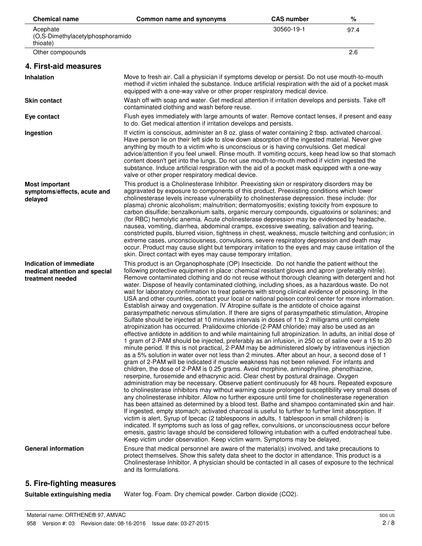| <b>Chemical name</b>                                                         | Common name and synonyms                                                                                                                                                                                                                                                                                                                                                                                                                                                                                                                                                                                                                                                                                                                                                                                                                                                                                                                                                                                                                                                                                                                                                                                                                                                                                                                                                                                                                                                                                                                                                                                                                                                                                                                                                                                                                                                                                                                                                                                                                                                                                                                                                                                                                                                                                                                                                                                                                                                                                                                                                                                                                      | <b>CAS number</b> | %    |
|------------------------------------------------------------------------------|-----------------------------------------------------------------------------------------------------------------------------------------------------------------------------------------------------------------------------------------------------------------------------------------------------------------------------------------------------------------------------------------------------------------------------------------------------------------------------------------------------------------------------------------------------------------------------------------------------------------------------------------------------------------------------------------------------------------------------------------------------------------------------------------------------------------------------------------------------------------------------------------------------------------------------------------------------------------------------------------------------------------------------------------------------------------------------------------------------------------------------------------------------------------------------------------------------------------------------------------------------------------------------------------------------------------------------------------------------------------------------------------------------------------------------------------------------------------------------------------------------------------------------------------------------------------------------------------------------------------------------------------------------------------------------------------------------------------------------------------------------------------------------------------------------------------------------------------------------------------------------------------------------------------------------------------------------------------------------------------------------------------------------------------------------------------------------------------------------------------------------------------------------------------------------------------------------------------------------------------------------------------------------------------------------------------------------------------------------------------------------------------------------------------------------------------------------------------------------------------------------------------------------------------------------------------------------------------------------------------------------------------------|-------------------|------|
| Acephate<br>(O,S-Dimethylacetylphosphoramido<br>thioate)                     |                                                                                                                                                                                                                                                                                                                                                                                                                                                                                                                                                                                                                                                                                                                                                                                                                                                                                                                                                                                                                                                                                                                                                                                                                                                                                                                                                                                                                                                                                                                                                                                                                                                                                                                                                                                                                                                                                                                                                                                                                                                                                                                                                                                                                                                                                                                                                                                                                                                                                                                                                                                                                                               | 30560-19-1        | 97.4 |
| Other compoounds                                                             |                                                                                                                                                                                                                                                                                                                                                                                                                                                                                                                                                                                                                                                                                                                                                                                                                                                                                                                                                                                                                                                                                                                                                                                                                                                                                                                                                                                                                                                                                                                                                                                                                                                                                                                                                                                                                                                                                                                                                                                                                                                                                                                                                                                                                                                                                                                                                                                                                                                                                                                                                                                                                                               |                   | 2.6  |
| 4. First-aid measures                                                        |                                                                                                                                                                                                                                                                                                                                                                                                                                                                                                                                                                                                                                                                                                                                                                                                                                                                                                                                                                                                                                                                                                                                                                                                                                                                                                                                                                                                                                                                                                                                                                                                                                                                                                                                                                                                                                                                                                                                                                                                                                                                                                                                                                                                                                                                                                                                                                                                                                                                                                                                                                                                                                               |                   |      |
| <b>Inhalation</b>                                                            | Move to fresh air. Call a physician if symptoms develop or persist. Do not use mouth-to-mouth<br>method if victim inhaled the substance. Induce artificial respiration with the aid of a pocket mask<br>equipped with a one-way valve or other proper respiratory medical device.                                                                                                                                                                                                                                                                                                                                                                                                                                                                                                                                                                                                                                                                                                                                                                                                                                                                                                                                                                                                                                                                                                                                                                                                                                                                                                                                                                                                                                                                                                                                                                                                                                                                                                                                                                                                                                                                                                                                                                                                                                                                                                                                                                                                                                                                                                                                                             |                   |      |
| <b>Skin contact</b>                                                          | Wash off with soap and water. Get medical attention if irritation develops and persists. Take off<br>contaminated clothing and wash before reuse.                                                                                                                                                                                                                                                                                                                                                                                                                                                                                                                                                                                                                                                                                                                                                                                                                                                                                                                                                                                                                                                                                                                                                                                                                                                                                                                                                                                                                                                                                                                                                                                                                                                                                                                                                                                                                                                                                                                                                                                                                                                                                                                                                                                                                                                                                                                                                                                                                                                                                             |                   |      |
| Eye contact                                                                  | Flush eyes immediately with large amounts of water. Remove contact lenses, if present and easy<br>to do. Get medical attention if irritation develops and persists.                                                                                                                                                                                                                                                                                                                                                                                                                                                                                                                                                                                                                                                                                                                                                                                                                                                                                                                                                                                                                                                                                                                                                                                                                                                                                                                                                                                                                                                                                                                                                                                                                                                                                                                                                                                                                                                                                                                                                                                                                                                                                                                                                                                                                                                                                                                                                                                                                                                                           |                   |      |
| Ingestion                                                                    | If victim is conscious, administer an 8 oz. glass of water containing 2 tbsp. activated charcoal.<br>Have person lie on their left side to slow down absorption of the ingested material. Never give<br>anything by mouth to a victim who is unconscious or is having convulsions. Get medical<br>advice/attention if you feel unwell. Rinse mouth. If vomiting occurs, keep head low so that stomach<br>content doesn't get into the lungs. Do not use mouth-to-mouth method if victim ingested the<br>substance. Induce artificial respiration with the aid of a pocket mask equipped with a one-way<br>valve or other proper respiratory medical device.                                                                                                                                                                                                                                                                                                                                                                                                                                                                                                                                                                                                                                                                                                                                                                                                                                                                                                                                                                                                                                                                                                                                                                                                                                                                                                                                                                                                                                                                                                                                                                                                                                                                                                                                                                                                                                                                                                                                                                                   |                   |      |
| <b>Most important</b><br>symptoms/effects, acute and<br>delayed              | This product is a Cholinesterase Inhibitor. Preexisting skin or respiratory disorders may be<br>aggravated by exposure to components of this product. Preexisting conditions which lower<br>cholinesterase levels increase vulnerability to cholinesterase depression. these include: (for<br>plasma) chronic alcoholism; malnutrition; dermatomyositis; existing toxicity from exposure to<br>carbon disulfide; benzalkonium salts, organic mercury compounds, ciguatoxins or solanines; and<br>(for RBC) hemolytic anemia. Acute cholinesterase depression may be evidenced by headache,<br>nausea, vomiting, diarrhea, abdominal cramps, excessive sweating, salivation and tearing,<br>constricted pupils, blurred vision, tightness in chest, weakness, muscle twitching and confusion; in<br>extreme cases, unconsciousness, convulsions, severe respiratory depression and death may<br>occur. Product may cause slight but temporary irritation to the eyes and may cause irritation of the<br>skin. Direct contact with eyes may cause temporary irritation.                                                                                                                                                                                                                                                                                                                                                                                                                                                                                                                                                                                                                                                                                                                                                                                                                                                                                                                                                                                                                                                                                                                                                                                                                                                                                                                                                                                                                                                                                                                                                                         |                   |      |
| Indication of immediate<br>medical attention and special<br>treatment needed | This product is an Organophosphate (OP) Insecticide. Do not handle the patient without the<br>following protective equipment in place: chemical resistant gloves and apron (preferably nitrile).<br>Remove contaminated clothing and do not reuse without thorough cleaning with detergent and hot<br>water. Dispose of heavily contaminated clothing, including shoes, as a hazardous waste. Do not<br>wait for laboratory confirmation to treat patients with strong clinical evidence of poisoning. In the<br>USA and other countries, contact your local or national poison control center for more information.<br>Establish airway and oxygenation. IV Atropine sulfate is the antidote of choice against<br>parasympathetic nervous stimulation. If there are signs of parasympathetic stimulation, Atropine<br>Sulfate should be injected at 10 minutes intervals in doses of 1 to 2 milligrams until complete<br>atropinization has occurred. Pralidoxime chloride (2-PAM chloride) may also be used as an<br>effective antidote in addition to and while maintaining full atropinization. In adults, an initial dose of<br>1 gram of 2-PAM should be injected, preferably as an infusion, in 250 cc of saline over a 15 to 20<br>minute period. If this is not practical, 2-PAM may be administered slowly by intravenous injection<br>as a 5% solution in water over not less than 2 minutes. After about an hour, a second dose of 1<br>gram of 2-PAM will be indicated if muscle weakness has not been relieved. For infants and<br>children, the dose of 2-PAM is 0.25 grams. Avoid morphine, aminophylline, phenothiazine,<br>reserpine, furosemide and ethacrynic acid. Clear chest by postural drainage. Oxygen<br>administration may be necessary. Observe patient continuously for 48 hours. Repeated exposure<br>to cholinesterase inhibitors may without warning cause prolonged susceptibility very small doses of<br>any cholinesterase inhibitor. Allow no further exposure until time for cholinesterase regeneration<br>has been attained as determined by a blood test. Bathe and shampoo contaminated skin and hair.<br>If ingested, empty stomach; activated charcoal is useful to further to further limit absorption. If<br>victim is alert, Syrup of Ipecac (2 tablespoons in adults, 1 tablespoon in small children) is<br>indicated. If symptoms such as loss of gag reflex, convulsions, or unconsciousness occur before<br>emesis, gastric lavage should be considered following intubation with a cuffed endotracheal tube.<br>Keep victim under observation. Keep victim warm. Symptoms may be delayed. |                   |      |
| <b>General information</b>                                                   | Ensure that medical personnel are aware of the material(s) involved, and take precautions to<br>protect themselves. Show this safety data sheet to the doctor in attendance. This product is a<br>Cholinesterase Inhibitor. A physician should be contacted in all cases of exposure to the technical<br>and its formulations.                                                                                                                                                                                                                                                                                                                                                                                                                                                                                                                                                                                                                                                                                                                                                                                                                                                                                                                                                                                                                                                                                                                                                                                                                                                                                                                                                                                                                                                                                                                                                                                                                                                                                                                                                                                                                                                                                                                                                                                                                                                                                                                                                                                                                                                                                                                |                   |      |
| 5. Fire-fighting measures                                                    |                                                                                                                                                                                                                                                                                                                                                                                                                                                                                                                                                                                                                                                                                                                                                                                                                                                                                                                                                                                                                                                                                                                                                                                                                                                                                                                                                                                                                                                                                                                                                                                                                                                                                                                                                                                                                                                                                                                                                                                                                                                                                                                                                                                                                                                                                                                                                                                                                                                                                                                                                                                                                                               |                   |      |
| Suitable extinguishing media                                                 | Water fog. Foam. Dry chemical powder. Carbon dioxide (CO2).                                                                                                                                                                                                                                                                                                                                                                                                                                                                                                                                                                                                                                                                                                                                                                                                                                                                                                                                                                                                                                                                                                                                                                                                                                                                                                                                                                                                                                                                                                                                                                                                                                                                                                                                                                                                                                                                                                                                                                                                                                                                                                                                                                                                                                                                                                                                                                                                                                                                                                                                                                                   |                   |      |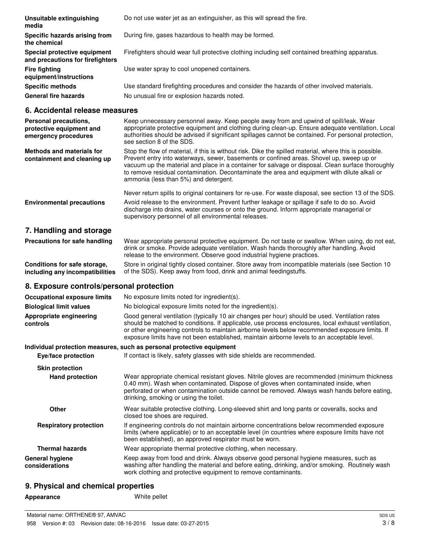| Unsuitable extinguishing<br>media                                | Do not use water jet as an extinguisher, as this will spread the fire.                          |
|------------------------------------------------------------------|-------------------------------------------------------------------------------------------------|
| Specific hazards arising from<br>the chemical                    | During fire, gases hazardous to health may be formed.                                           |
| Special protective equipment<br>and precautions for firefighters | Firefighters should wear full protective clothing including self contained breathing apparatus. |
| <b>Fire fighting</b><br>equipment/instructions                   | Use water spray to cool unopened containers.                                                    |
| <b>Specific methods</b>                                          | Use standard firefighting procedures and consider the hazards of other involved materials.      |
| <b>General fire hazards</b>                                      | No unusual fire or explosion hazards noted.                                                     |

#### **6. Accidental release measures**

| Personal precautions,<br>protective equipment and<br>emergency procedures | Keep unnecessary personnel away. Keep people away from and upwind of spill/leak. Wear<br>appropriate protective equipment and clothing during clean-up. Ensure adequate ventilation. Local<br>authorities should be advised if significant spillages cannot be contained. For personal protection,<br>see section 8 of the SDS.                                                                                                                  |
|---------------------------------------------------------------------------|--------------------------------------------------------------------------------------------------------------------------------------------------------------------------------------------------------------------------------------------------------------------------------------------------------------------------------------------------------------------------------------------------------------------------------------------------|
| Methods and materials for<br>containment and cleaning up                  | Stop the flow of material, if this is without risk. Dike the spilled material, where this is possible.<br>Prevent entry into waterways, sewer, basements or confined areas. Shovel up, sweep up or<br>vacuum up the material and place in a container for salvage or disposal. Clean surface thoroughly<br>to remove residual contamination. Decontaminate the area and equipment with dilute alkali or<br>ammonia (less than 5%) and detergent. |
| <b>Environmental precautions</b>                                          | Never return spills to original containers for re-use. For waste disposal, see section 13 of the SDS.<br>Avoid release to the environment. Prevent further leakage or spillage if safe to do so. Avoid<br>discharge into drains, water courses or onto the ground. Inform appropriate managerial or<br>supervisory personnel of all environmental releases.                                                                                      |
| 크. lieu diben en di eternen.                                              |                                                                                                                                                                                                                                                                                                                                                                                                                                                  |

## **7. Handling and storage**

| Precautions for safe handling   | Wear appropriate personal protective equipment. Do not taste or swallow. When using, do not eat,<br>drink or smoke. Provide adequate ventilation. Wash hands thoroughly after handling. Avoid<br>release to the environment. Observe good industrial hygiene practices. |
|---------------------------------|-------------------------------------------------------------------------------------------------------------------------------------------------------------------------------------------------------------------------------------------------------------------------|
| Conditions for safe storage,    | Store in original tightly closed container. Store away from incompatible materials (see Section 10                                                                                                                                                                      |
| including any incompatibilities | of the SDS). Keep away from food, drink and animal feedingstuffs.                                                                                                                                                                                                       |

# **8. Exposure controls/personal protection**

| <b>Occupational exposure limits</b>      | No exposure limits noted for ingredient(s).                                                                                                                                                                                                                                                                                                                                                            |  |  |
|------------------------------------------|--------------------------------------------------------------------------------------------------------------------------------------------------------------------------------------------------------------------------------------------------------------------------------------------------------------------------------------------------------------------------------------------------------|--|--|
| <b>Biological limit values</b>           | No biological exposure limits noted for the ingredient(s).                                                                                                                                                                                                                                                                                                                                             |  |  |
| Appropriate engineering<br>controls      | Good general ventilation (typically 10 air changes per hour) should be used. Ventilation rates<br>should be matched to conditions. If applicable, use process enclosures, local exhaust ventilation,<br>or other engineering controls to maintain airborne levels below recommended exposure limits. If<br>exposure limits have not been established, maintain airborne levels to an acceptable level. |  |  |
|                                          | Individual protection measures, such as personal protective equipment                                                                                                                                                                                                                                                                                                                                  |  |  |
| Eye/face protection                      | If contact is likely, safety glasses with side shields are recommended.                                                                                                                                                                                                                                                                                                                                |  |  |
| <b>Skin protection</b>                   |                                                                                                                                                                                                                                                                                                                                                                                                        |  |  |
| <b>Hand protection</b>                   | Wear appropriate chemical resistant gloves. Nitrile gloves are recommended (minimum thickness<br>0.40 mm). Wash when contaminated. Dispose of gloves when contaminated inside, when<br>perforated or when contamination outside cannot be removed. Always wash hands before eating,<br>drinking, smoking or using the toilet.                                                                          |  |  |
| <b>Other</b>                             | Wear suitable protective clothing. Long-sleeved shirt and long pants or coveralls, socks and<br>closed toe shoes are required.                                                                                                                                                                                                                                                                         |  |  |
| <b>Respiratory protection</b>            | If engineering controls do not maintain airborne concentrations below recommended exposure<br>limits (where applicable) or to an acceptable level (in countries where exposure limits have not<br>been established), an approved respirator must be worn.                                                                                                                                              |  |  |
| <b>Thermal hazards</b>                   | Wear appropriate thermal protective clothing, when necessary.                                                                                                                                                                                                                                                                                                                                          |  |  |
| <b>General hygiene</b><br>considerations | Keep away from food and drink. Always observe good personal hygiene measures, such as<br>washing after handling the material and before eating, drinking, and/or smoking. Routinely wash<br>work clothing and protective equipment to remove contaminants.                                                                                                                                             |  |  |

# **9. Physical and chemical properties**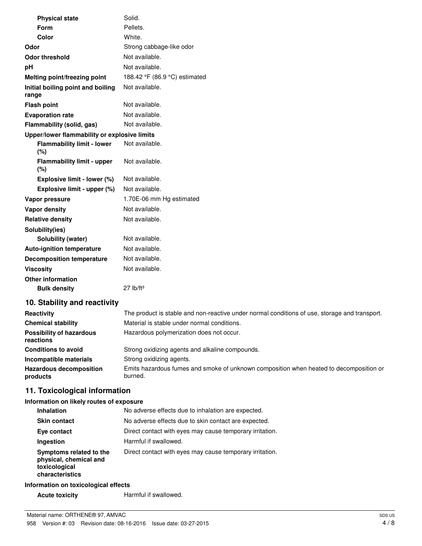|                                              | <b>Physical state</b>                    | Solid.                        |  |  |  |
|----------------------------------------------|------------------------------------------|-------------------------------|--|--|--|
|                                              | Form                                     | Pellets.                      |  |  |  |
|                                              | Color                                    | White.                        |  |  |  |
| Strong cabbage-like odor<br>Odor             |                                          |                               |  |  |  |
|                                              | <b>Odor threshold</b>                    | Not available.                |  |  |  |
| pH                                           |                                          | Not available.                |  |  |  |
|                                              | Melting point/freezing point             | 188.42 °F (86.9 °C) estimated |  |  |  |
| range                                        | Initial boiling point and boiling        | Not available.                |  |  |  |
|                                              | <b>Flash point</b>                       | Not available.                |  |  |  |
|                                              | <b>Evaporation rate</b>                  | Not available.                |  |  |  |
|                                              | Flammability (solid, gas)                | Not available.                |  |  |  |
| Upper/lower flammability or explosive limits |                                          |                               |  |  |  |
|                                              | <b>Flammability limit - lower</b><br>(%) | Not available.                |  |  |  |
|                                              | <b>Flammability limit - upper</b><br>(%) | Not available.                |  |  |  |
|                                              | Explosive limit - lower (%)              | Not available.                |  |  |  |
|                                              | Explosive limit - upper (%)              | Not available.                |  |  |  |
|                                              | Vapor pressure                           | 1.70E-06 mm Hg estimated      |  |  |  |
|                                              | Vapor density                            | Not available.                |  |  |  |
|                                              | <b>Relative density</b>                  | Not available.                |  |  |  |
|                                              | Solubility(ies)                          |                               |  |  |  |
|                                              | <b>Solubility (water)</b>                | Not available.                |  |  |  |
|                                              | <b>Auto-ignition temperature</b>         | Not available.                |  |  |  |
|                                              | <b>Decomposition temperature</b>         | Not available.                |  |  |  |
|                                              | <b>Viscosity</b>                         | Not available.                |  |  |  |
|                                              | <b>Other information</b>                 |                               |  |  |  |
|                                              | <b>Bulk density</b>                      | $27$ lb/ft <sup>3</sup>       |  |  |  |

# **10. Stability and reactivity**

| Reactivity                                   | The product is stable and non-reactive under normal conditions of use, storage and transport.     |
|----------------------------------------------|---------------------------------------------------------------------------------------------------|
| <b>Chemical stability</b>                    | Material is stable under normal conditions.                                                       |
| <b>Possibility of hazardous</b><br>reactions | Hazardous polymerization does not occur.                                                          |
| <b>Conditions to avoid</b>                   | Strong oxidizing agents and alkaline compounds.                                                   |
| Incompatible materials                       | Strong oxidizing agents.                                                                          |
| <b>Hazardous decomposition</b><br>products   | Emits hazardous fumes and smoke of unknown composition when heated to decomposition or<br>burned. |

# **11. Toxicological information**

#### **Information on likely routes of exposure**

| <b>Inhalation</b>                                                                     | No adverse effects due to inhalation are expected.       |
|---------------------------------------------------------------------------------------|----------------------------------------------------------|
| <b>Skin contact</b>                                                                   | No adverse effects due to skin contact are expected.     |
| Eye contact                                                                           | Direct contact with eyes may cause temporary irritation. |
| Ingestion                                                                             | Harmful if swallowed.                                    |
| Symptoms related to the<br>physical, chemical and<br>toxicological<br>characteristics | Direct contact with eyes may cause temporary irritation. |

#### **Information on toxicological effects**

Acute toxicity **Harmful if swallowed.**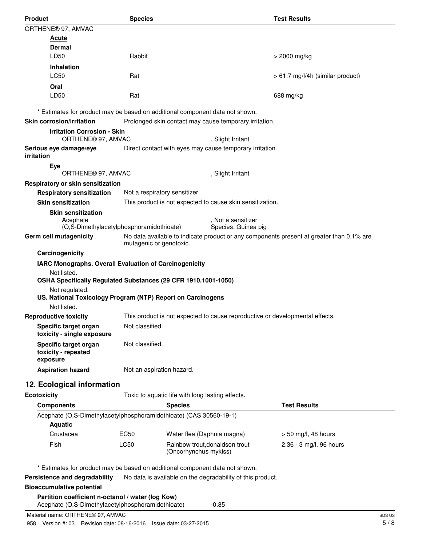| <b>Product</b>                                                                | <b>Species</b>                                         |                                                                                       |                                                           | <b>Test Results</b>                                                                      |  |
|-------------------------------------------------------------------------------|--------------------------------------------------------|---------------------------------------------------------------------------------------|-----------------------------------------------------------|------------------------------------------------------------------------------------------|--|
| ORTHENE® 97, AMVAC                                                            |                                                        |                                                                                       |                                                           |                                                                                          |  |
| <u>Acute</u>                                                                  |                                                        |                                                                                       |                                                           |                                                                                          |  |
| <b>Dermal</b>                                                                 |                                                        |                                                                                       |                                                           |                                                                                          |  |
| LD50                                                                          | Rabbit                                                 |                                                                                       |                                                           | > 2000 mg/kg                                                                             |  |
| <b>Inhalation</b>                                                             |                                                        |                                                                                       |                                                           |                                                                                          |  |
| <b>LC50</b>                                                                   | Rat                                                    |                                                                                       |                                                           | > 61.7 mg/l/4h (similar product)                                                         |  |
| Oral                                                                          |                                                        |                                                                                       |                                                           |                                                                                          |  |
| LD50                                                                          | Rat                                                    |                                                                                       |                                                           | 688 mg/kg                                                                                |  |
| * Estimates for product may be based on additional component data not shown.  |                                                        |                                                                                       |                                                           |                                                                                          |  |
| <b>Skin corrosion/irritation</b>                                              |                                                        |                                                                                       | Prolonged skin contact may cause temporary irritation.    |                                                                                          |  |
| <b>Irritation Corrosion - Skin</b><br>ORTHENE® 97, AMVAC                      |                                                        |                                                                                       | , Slight Irritant                                         |                                                                                          |  |
| Serious eye damage/eye                                                        |                                                        |                                                                                       | Direct contact with eyes may cause temporary irritation.  |                                                                                          |  |
| irritation                                                                    |                                                        |                                                                                       |                                                           |                                                                                          |  |
| Eye                                                                           |                                                        |                                                                                       |                                                           |                                                                                          |  |
| ORTHENE® 97, AMVAC                                                            |                                                        |                                                                                       | , Slight Irritant                                         |                                                                                          |  |
| Respiratory or skin sensitization                                             |                                                        |                                                                                       |                                                           |                                                                                          |  |
| <b>Respiratory sensitization</b>                                              | Not a respiratory sensitizer.                          |                                                                                       |                                                           |                                                                                          |  |
| <b>Skin sensitization</b>                                                     |                                                        |                                                                                       | This product is not expected to cause skin sensitization. |                                                                                          |  |
| <b>Skin sensitization</b>                                                     |                                                        |                                                                                       |                                                           |                                                                                          |  |
| Acephate                                                                      |                                                        | . Not a sensitizer<br>(O,S-Dimethylacetylphosphoramidothioate)<br>Species: Guinea pig |                                                           |                                                                                          |  |
| Germ cell mutagenicity                                                        |                                                        |                                                                                       |                                                           | No data available to indicate product or any components present at greater than 0.1% are |  |
| mutagenic or genotoxic.                                                       |                                                        |                                                                                       |                                                           |                                                                                          |  |
| Carcinogenicity                                                               |                                                        |                                                                                       |                                                           |                                                                                          |  |
|                                                                               | IARC Monographs. Overall Evaluation of Carcinogenicity |                                                                                       |                                                           |                                                                                          |  |
| Not listed.<br>OSHA Specifically Regulated Substances (29 CFR 1910.1001-1050) |                                                        |                                                                                       |                                                           |                                                                                          |  |
| Not regulated.<br>US. National Toxicology Program (NTP) Report on Carcinogens |                                                        |                                                                                       |                                                           |                                                                                          |  |
| Not listed.                                                                   |                                                        |                                                                                       |                                                           |                                                                                          |  |
| <b>Reproductive toxicity</b>                                                  |                                                        |                                                                                       |                                                           | This product is not expected to cause reproductive or developmental effects.             |  |
| Specific target organ<br>toxicity - single exposure                           | Not classified.                                        |                                                                                       |                                                           |                                                                                          |  |
| Specific target organ<br>toxicity - repeated<br>exposure                      | Not classified.                                        |                                                                                       |                                                           |                                                                                          |  |
| <b>Aspiration hazard</b>                                                      | Not an aspiration hazard.                              |                                                                                       |                                                           |                                                                                          |  |
| 12. Ecological information                                                    |                                                        |                                                                                       |                                                           |                                                                                          |  |
| Ecotoxicity                                                                   |                                                        | Toxic to aquatic life with long lasting effects.                                      |                                                           |                                                                                          |  |
| <b>Components</b>                                                             |                                                        | <b>Species</b>                                                                        |                                                           | <b>Test Results</b>                                                                      |  |
| Acephate (O,S-Dimethylacetylphosphoramidothioate) (CAS 30560-19-1)            |                                                        |                                                                                       |                                                           |                                                                                          |  |
| <b>Aquatic</b>                                                                |                                                        |                                                                                       |                                                           |                                                                                          |  |
| Crustacea                                                                     | EC50                                                   | Water flea (Daphnia magna)                                                            |                                                           | $> 50$ mg/l, 48 hours                                                                    |  |
| Fish                                                                          | LC50                                                   | Rainbow trout, donaldson trout<br>(Oncorhynchus mykiss)                               |                                                           | 2.36 - 3 mg/l, 96 hours                                                                  |  |
| * Estimates for product may be based on additional component data not shown.  |                                                        |                                                                                       |                                                           |                                                                                          |  |

**Persistence and degradability** No data is available on the degradability of this product.

### **Bioaccumulative potential**

| Partition coefficient n-octanol / water (log Kow) |       |
|---------------------------------------------------|-------|
| Acephate (O,S-Dimethylacetylphosphoramidothioate) | -0.85 |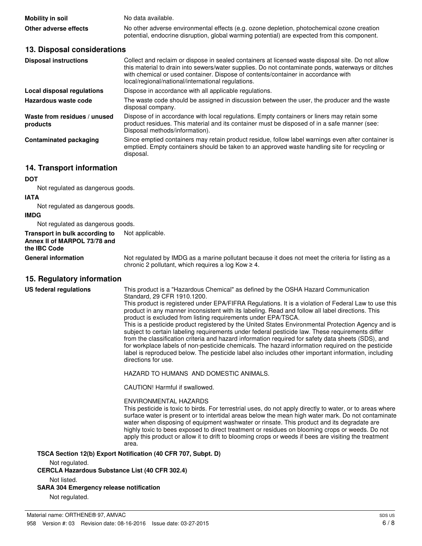| Mobility in soil      | No data available.                                                                           |
|-----------------------|----------------------------------------------------------------------------------------------|
| Other adverse effects | No other adverse environmental effects (e.g. ozone depletion, photochemical ozone creation   |
|                       | potential, endocrine disruption, global warming potential) are expected from this component. |

#### **13. Disposal considerations**

| <b>Disposal instructions</b>             | Collect and reclaim or dispose in sealed containers at licensed waste disposal site. Do not allow<br>this material to drain into sewers/water supplies. Do not contaminate ponds, waterways or ditches<br>with chemical or used container. Dispose of contents/container in accordance with<br>local/regional/national/international regulations. |
|------------------------------------------|---------------------------------------------------------------------------------------------------------------------------------------------------------------------------------------------------------------------------------------------------------------------------------------------------------------------------------------------------|
| Local disposal regulations               | Dispose in accordance with all applicable regulations.                                                                                                                                                                                                                                                                                            |
| Hazardous waste code                     | The waste code should be assigned in discussion between the user, the producer and the waste<br>disposal company.                                                                                                                                                                                                                                 |
| Waste from residues / unused<br>products | Dispose of in accordance with local regulations. Empty containers or liners may retain some<br>product residues. This material and its container must be disposed of in a safe manner (see:<br>Disposal methods/information).                                                                                                                     |
| <b>Contaminated packaging</b>            | Since emptied containers may retain product residue, follow label warnings even after container is<br>emptied. Empty containers should be taken to an approved waste handling site for recycling or<br>disposal.                                                                                                                                  |

#### **14. Transport information**

#### **DOT**

Not regulated as dangerous goods.

#### **IATA**

Not regulated as dangerous goods.

#### **IMDG**

Not regulated as dangerous goods.

**Transport in bulk according to** Not applicable. **Annex II of MARPOL 73/78 and the IBC Code General information**

Not regulated by IMDG as a marine pollutant because it does not meet the criteria for listing as a chronic 2 pollutant, which requires a log Kow  $\geq 4$ .

#### **15. Regulatory information**

This product is a "Hazardous Chemical" as defined by the OSHA Hazard Communication Standard, 29 CFR 1910.1200. This product is registered under EPA/FIFRA Regulations. It is a violation of Federal Law to use this product in any manner inconsistent with its labeling. Read and follow all label directions. This product is excluded from listing requirements under EPA/TSCA. This is a pesticide product registered by the United States Environmental Protection Agency and is subject to certain labeling requirements under federal pesticide law. These requirements differ from the classification criteria and hazard information required for safety data sheets (SDS), and for workplace labels of non-pesticide chemicals. The hazard information required on the pesticide label is reproduced below. The pesticide label also includes other important information, including directions for use. **US federal regulations**

HAZARD TO HUMANS AND DOMESTIC ANIMALS.

CAUTION! Harmful if swallowed.

#### ENVIRONMENTAL HAZARDS

This pesticide is toxic to birds. For terrestrial uses, do not apply directly to water, or to areas where surface water is present or to intertidal areas below the mean high water mark. Do not contaminate water when disposing of equipment washwater or rinsate. This product and its degradate are highly toxic to bees exposed to direct treatment or residues on blooming crops or weeds. Do not apply this product or allow it to drift to blooming crops or weeds if bees are visiting the treatment area.

**TSCA Section 12(b) Export Notification (40 CFR 707, Subpt. D)**

Not regulated.

**CERCLA Hazardous Substance List (40 CFR 302.4)**

Not listed.

**SARA 304 Emergency release notification**

Not regulated.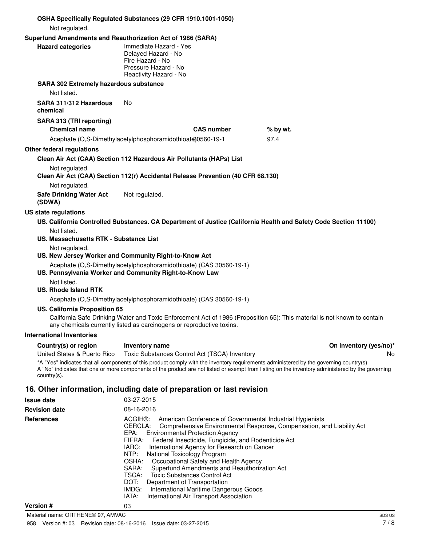| OSHA Specifically Regulated Substances (29 CFR 1910.1001-1050)                                                                |                                                                                                                                                                               |                                                                                                                                                                                                                                                                                                                                                                                     |                                                                                                                                                                                                                                                                                            |
|-------------------------------------------------------------------------------------------------------------------------------|-------------------------------------------------------------------------------------------------------------------------------------------------------------------------------|-------------------------------------------------------------------------------------------------------------------------------------------------------------------------------------------------------------------------------------------------------------------------------------------------------------------------------------------------------------------------------------|--------------------------------------------------------------------------------------------------------------------------------------------------------------------------------------------------------------------------------------------------------------------------------------------|
| Not regulated.                                                                                                                |                                                                                                                                                                               |                                                                                                                                                                                                                                                                                                                                                                                     |                                                                                                                                                                                                                                                                                            |
| Superfund Amendments and Reauthorization Act of 1986 (SARA)<br><b>Hazard categories</b>                                       | Immediate Hazard - Yes<br>Delayed Hazard - No<br>Fire Hazard - No<br>Pressure Hazard - No<br>Reactivity Hazard - No                                                           |                                                                                                                                                                                                                                                                                                                                                                                     |                                                                                                                                                                                                                                                                                            |
| <b>SARA 302 Extremely hazardous substance</b>                                                                                 |                                                                                                                                                                               |                                                                                                                                                                                                                                                                                                                                                                                     |                                                                                                                                                                                                                                                                                            |
| Not listed.                                                                                                                   |                                                                                                                                                                               |                                                                                                                                                                                                                                                                                                                                                                                     |                                                                                                                                                                                                                                                                                            |
| SARA 311/312 Hazardous<br>chemical                                                                                            | No                                                                                                                                                                            |                                                                                                                                                                                                                                                                                                                                                                                     |                                                                                                                                                                                                                                                                                            |
| SARA 313 (TRI reporting)<br><b>Chemical name</b>                                                                              |                                                                                                                                                                               | <b>CAS number</b>                                                                                                                                                                                                                                                                                                                                                                   | % by wt.                                                                                                                                                                                                                                                                                   |
| Acephate (O,S-Dimethylacetylphosphoramidothioate)0560-19-1                                                                    |                                                                                                                                                                               |                                                                                                                                                                                                                                                                                                                                                                                     | 97.4                                                                                                                                                                                                                                                                                       |
| Other federal regulations                                                                                                     |                                                                                                                                                                               |                                                                                                                                                                                                                                                                                                                                                                                     |                                                                                                                                                                                                                                                                                            |
| Clean Air Act (CAA) Section 112 Hazardous Air Pollutants (HAPs) List                                                          |                                                                                                                                                                               |                                                                                                                                                                                                                                                                                                                                                                                     |                                                                                                                                                                                                                                                                                            |
| Not regulated.<br>Clean Air Act (CAA) Section 112(r) Accidental Release Prevention (40 CFR 68.130)                            |                                                                                                                                                                               |                                                                                                                                                                                                                                                                                                                                                                                     |                                                                                                                                                                                                                                                                                            |
| Not regulated.                                                                                                                |                                                                                                                                                                               |                                                                                                                                                                                                                                                                                                                                                                                     |                                                                                                                                                                                                                                                                                            |
| <b>Safe Drinking Water Act</b><br>(SDWA)                                                                                      | Not regulated.                                                                                                                                                                |                                                                                                                                                                                                                                                                                                                                                                                     |                                                                                                                                                                                                                                                                                            |
| US state regulations                                                                                                          |                                                                                                                                                                               |                                                                                                                                                                                                                                                                                                                                                                                     |                                                                                                                                                                                                                                                                                            |
|                                                                                                                               |                                                                                                                                                                               |                                                                                                                                                                                                                                                                                                                                                                                     | US. California Controlled Substances. CA Department of Justice (California Health and Safety Code Section 11100)                                                                                                                                                                           |
| Not listed.<br>US. Massachusetts RTK - Substance List                                                                         |                                                                                                                                                                               |                                                                                                                                                                                                                                                                                                                                                                                     |                                                                                                                                                                                                                                                                                            |
| Not regulated.                                                                                                                |                                                                                                                                                                               |                                                                                                                                                                                                                                                                                                                                                                                     |                                                                                                                                                                                                                                                                                            |
| US. New Jersey Worker and Community Right-to-Know Act                                                                         |                                                                                                                                                                               |                                                                                                                                                                                                                                                                                                                                                                                     |                                                                                                                                                                                                                                                                                            |
| Acephate (O,S-Dimethylacetylphosphoramidothioate) (CAS 30560-19-1)<br>US. Pennsylvania Worker and Community Right-to-Know Law |                                                                                                                                                                               |                                                                                                                                                                                                                                                                                                                                                                                     |                                                                                                                                                                                                                                                                                            |
| Not listed.<br><b>US. Rhode Island RTK</b>                                                                                    |                                                                                                                                                                               |                                                                                                                                                                                                                                                                                                                                                                                     |                                                                                                                                                                                                                                                                                            |
| Acephate (O,S-Dimethylacetylphosphoramidothioate) (CAS 30560-19-1)                                                            |                                                                                                                                                                               |                                                                                                                                                                                                                                                                                                                                                                                     |                                                                                                                                                                                                                                                                                            |
| <b>US. California Proposition 65</b><br>any chemicals currently listed as carcinogens or reproductive toxins.                 |                                                                                                                                                                               |                                                                                                                                                                                                                                                                                                                                                                                     | California Safe Drinking Water and Toxic Enforcement Act of 1986 (Proposition 65): This material is not known to contain                                                                                                                                                                   |
| International Inventories                                                                                                     |                                                                                                                                                                               |                                                                                                                                                                                                                                                                                                                                                                                     |                                                                                                                                                                                                                                                                                            |
| Country(s) or region                                                                                                          | Inventory name                                                                                                                                                                |                                                                                                                                                                                                                                                                                                                                                                                     | On inventory (yes/no)*                                                                                                                                                                                                                                                                     |
| United States & Puerto Rico                                                                                                   | Toxic Substances Control Act (TSCA) Inventory                                                                                                                                 |                                                                                                                                                                                                                                                                                                                                                                                     | No                                                                                                                                                                                                                                                                                         |
| country(s).                                                                                                                   |                                                                                                                                                                               |                                                                                                                                                                                                                                                                                                                                                                                     | *A "Yes" indicates that all components of this product comply with the inventory requirements administered by the governing country(s)<br>A "No" indicates that one or more components of the product are not listed or exempt from listing on the inventory administered by the governing |
| 16. Other information, including date of preparation or last revision                                                         |                                                                                                                                                                               |                                                                                                                                                                                                                                                                                                                                                                                     |                                                                                                                                                                                                                                                                                            |
| <b>Issue date</b>                                                                                                             | 03-27-2015                                                                                                                                                                    |                                                                                                                                                                                                                                                                                                                                                                                     |                                                                                                                                                                                                                                                                                            |
| <b>Revision date</b>                                                                                                          | 08-16-2016                                                                                                                                                                    |                                                                                                                                                                                                                                                                                                                                                                                     |                                                                                                                                                                                                                                                                                            |
| <b>References</b>                                                                                                             | ACGIH <sup>®</sup> :<br>CERCLA:<br>EPA:<br>FIFRA:<br>IARC:<br>NTP:<br>National Toxicology Program<br>OSHA:<br>SARA:<br>TSCA:<br>DOT:<br>Department of Transportation<br>IMDG: | American Conference of Governmental Industrial Hygienists<br><b>Environmental Protection Agency</b><br>Federal Insecticide, Fungicide, and Rodenticide Act<br>International Agency for Research on Cancer<br>Occupational Safety and Health Agency<br>Superfund Amendments and Reauthorization Act<br><b>Toxic Substances Control Act</b><br>International Maritime Dangerous Goods | Comprehensive Environmental Response, Compensation, and Liability Act                                                                                                                                                                                                                      |

**Version #** 03